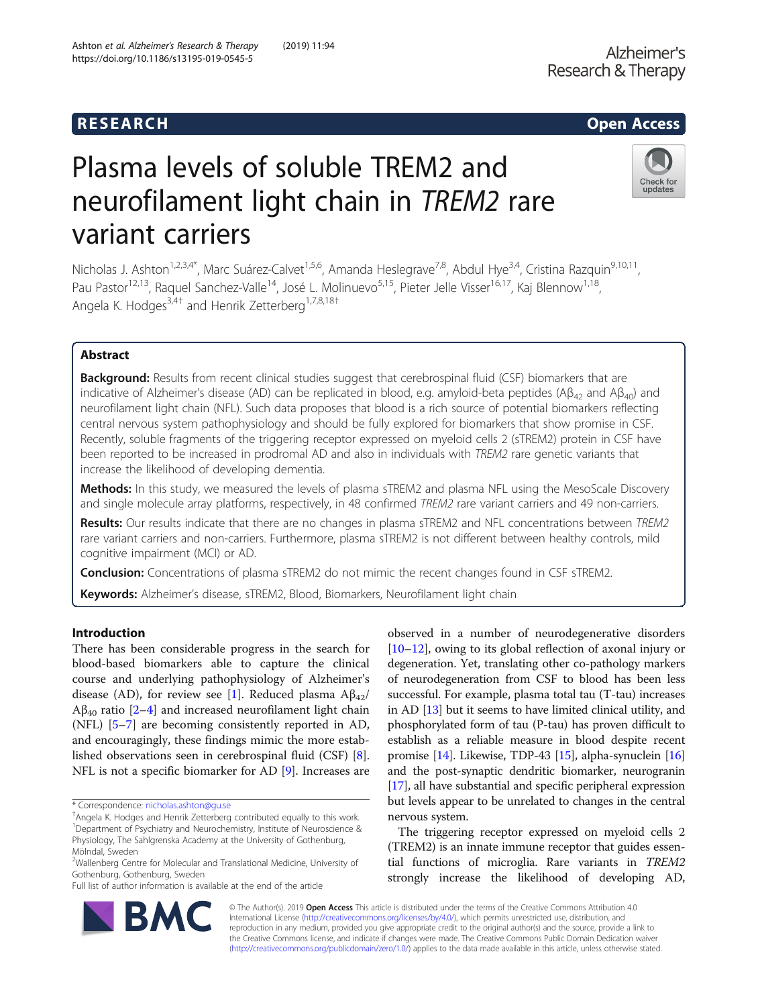## R E S EAR CH Open Access

## Check for updates

# Plasma levels of soluble TREM2 and neurofilament light chain in TREM2 rare variant carriers

Nicholas J. Ashton<sup>1,2,3,4\*</sup>, Marc Suárez-Calvet<sup>1,5,6</sup>, Amanda Heslegrave<sup>7,8</sup>, Abdul Hye<sup>3,4</sup>, Cristina Razquin<sup>9,10,11</sup>, Pau Pastor<sup>12,13</sup>, Raquel Sanchez-Valle<sup>14</sup>, José L. Molinuevo<sup>5,15</sup>, Pieter Jelle Visser<sup>16,17</sup>, Kaj Blennow<sup>1,18</sup>, Angela K. Hodges<sup>3,4†</sup> and Henrik Zetterberg<sup>1,7,8,18†</sup>

### Abstract

**Background:** Results from recent clinical studies suggest that cerebrospinal fluid (CSF) biomarkers that are indicative of Alzheimer's disease (AD) can be replicated in blood, e.g. amyloid-beta peptides (A $\beta_{42}$  and A $\beta_{40}$ ) and neurofilament light chain (NFL). Such data proposes that blood is a rich source of potential biomarkers reflecting central nervous system pathophysiology and should be fully explored for biomarkers that show promise in CSF. Recently, soluble fragments of the triggering receptor expressed on myeloid cells 2 (sTREM2) protein in CSF have been reported to be increased in prodromal AD and also in individuals with TREM2 rare genetic variants that increase the likelihood of developing dementia.

Methods: In this study, we measured the levels of plasma sTREM2 and plasma NFL using the MesoScale Discovery and single molecule array platforms, respectively, in 48 confirmed TREM2 rare variant carriers and 49 non-carriers.

Results: Our results indicate that there are no changes in plasma sTREM2 and NFL concentrations between TREM2 rare variant carriers and non-carriers. Furthermore, plasma sTREM2 is not different between healthy controls, mild cognitive impairment (MCI) or AD.

Conclusion: Concentrations of plasma sTREM2 do not mimic the recent changes found in CSF sTREM2.

Keywords: Alzheimer's disease, sTREM2, Blood, Biomarkers, Neurofilament light chain

#### Introduction

There has been considerable progress in the search for blood-based biomarkers able to capture the clinical course and underlying pathophysiology of Alzheimer's disease (AD), for review see [[1\]](#page-5-0). Reduced plasma  $A\beta_{42}/$ Aβ<sub>40</sub> ratio [[2](#page-5-0)–[4](#page-5-0)] and increased neurofilament light chain (NFL) [\[5](#page-5-0)–[7](#page-5-0)] are becoming consistently reported in AD, and encouragingly, these findings mimic the more established observations seen in cerebrospinal fluid (CSF) [\[8](#page-5-0)]. NFL is not a specific biomarker for AD [\[9](#page-5-0)]. Increases are

Full list of author information is available at the end of the article



The triggering receptor expressed on myeloid cells 2 (TREM2) is an innate immune receptor that guides essential functions of microglia. Rare variants in TREM2 strongly increase the likelihood of developing AD,



© The Author(s). 2019 **Open Access** This article is distributed under the terms of the Creative Commons Attribution 4.0 International License [\(http://creativecommons.org/licenses/by/4.0/](http://creativecommons.org/licenses/by/4.0/)), which permits unrestricted use, distribution, and reproduction in any medium, provided you give appropriate credit to the original author(s) and the source, provide a link to the Creative Commons license, and indicate if changes were made. The Creative Commons Public Domain Dedication waiver [\(http://creativecommons.org/publicdomain/zero/1.0/](http://creativecommons.org/publicdomain/zero/1.0/)) applies to the data made available in this article, unless otherwise stated.

<sup>\*</sup> Correspondence: [nicholas.ashton@gu.se](mailto:nicholas.ashton@gu.se) †

Angela K. Hodges and Henrik Zetterberg contributed equally to this work. <sup>1</sup>Department of Psychiatry and Neurochemistry, Institute of Neuroscience & Physiology, The Sahlgrenska Academy at the University of Gothenburg, Mölndal, Sweden

<sup>&</sup>lt;sup>2</sup>Wallenberg Centre for Molecular and Translational Medicine, University of Gothenburg, Gothenburg, Sweden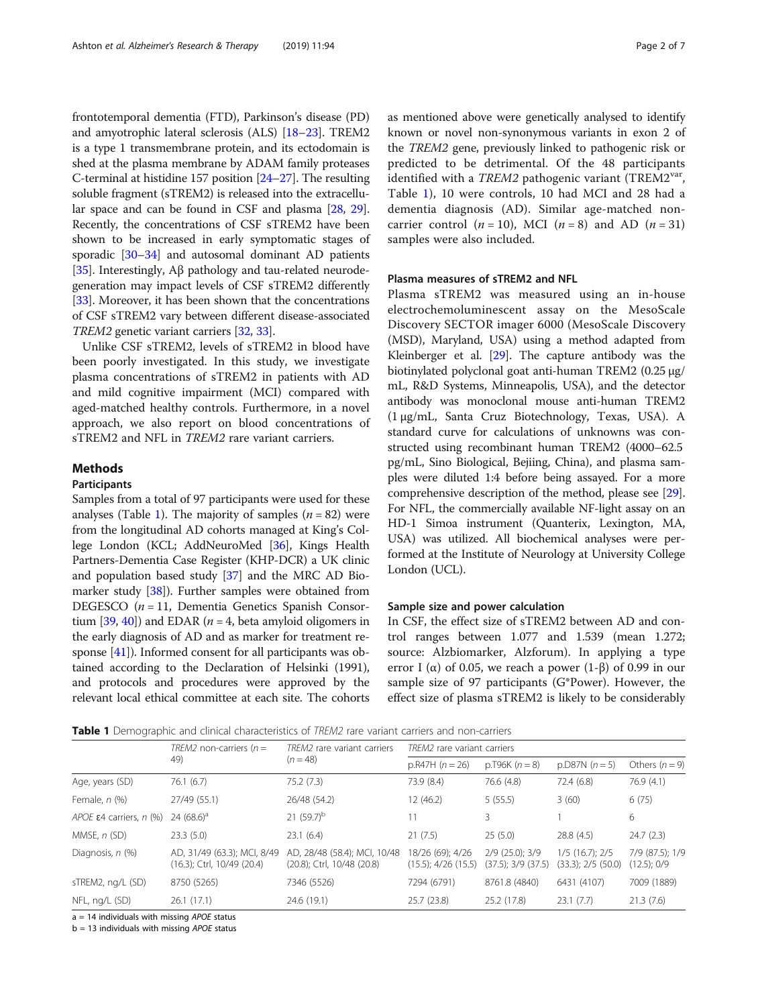<span id="page-1-0"></span>frontotemporal dementia (FTD), Parkinson's disease (PD) and amyotrophic lateral sclerosis (ALS) [[18](#page-5-0)–[23\]](#page-6-0). TREM2 is a type 1 transmembrane protein, and its ectodomain is shed at the plasma membrane by ADAM family proteases C-terminal at histidine 157 position [\[24](#page-6-0)–[27](#page-6-0)]. The resulting soluble fragment (sTREM2) is released into the extracellular space and can be found in CSF and plasma [\[28,](#page-6-0) [29](#page-6-0)]. Recently, the concentrations of CSF sTREM2 have been shown to be increased in early symptomatic stages of sporadic [\[30](#page-6-0)–[34](#page-6-0)] and autosomal dominant AD patients [ $35$ ]. Interestingly, A $\beta$  pathology and tau-related neurodegeneration may impact levels of CSF sTREM2 differently [[33](#page-6-0)]. Moreover, it has been shown that the concentrations of CSF sTREM2 vary between different disease-associated TREM2 genetic variant carriers [\[32,](#page-6-0) [33](#page-6-0)].

Unlike CSF sTREM2, levels of sTREM2 in blood have been poorly investigated. In this study, we investigate plasma concentrations of sTREM2 in patients with AD and mild cognitive impairment (MCI) compared with aged-matched healthy controls. Furthermore, in a novel approach, we also report on blood concentrations of sTREM2 and NFL in TREM2 rare variant carriers.

#### **Methods**

#### Participants

Samples from a total of 97 participants were used for these analyses (Table 1). The majority of samples  $(n = 82)$  were from the longitudinal AD cohorts managed at King's College London (KCL; AddNeuroMed [[36](#page-6-0)], Kings Health Partners-Dementia Case Register (KHP-DCR) a UK clinic and population based study [[37](#page-6-0)] and the MRC AD Biomarker study [[38\]](#page-6-0)). Further samples were obtained from DEGESCO  $(n = 11,$  Dementia Genetics Spanish Consortium  $[39, 40]$  $[39, 40]$  $[39, 40]$  $[39, 40]$  and EDAR ( $n = 4$ , beta amyloid oligomers in the early diagnosis of AD and as marker for treatment response [[41](#page-6-0)]). Informed consent for all participants was obtained according to the Declaration of Helsinki (1991), and protocols and procedures were approved by the relevant local ethical committee at each site. The cohorts as mentioned above were genetically analysed to identify known or novel non-synonymous variants in exon 2 of the TREM2 gene, previously linked to pathogenic risk or predicted to be detrimental. Of the 48 participants identified with a TREM2 pathogenic variant (TREM2<sup>var</sup>, Table 1), 10 were controls, 10 had MCI and 28 had a dementia diagnosis (AD). Similar age-matched noncarrier control  $(n = 10)$ , MCI  $(n = 8)$  and AD  $(n = 31)$ samples were also included.

#### Plasma measures of sTREM2 and NFL

Plasma sTREM2 was measured using an in-house electrochemoluminescent assay on the MesoScale Discovery SECTOR imager 6000 (MesoScale Discovery (MSD), Maryland, USA) using a method adapted from Kleinberger et al. [\[29](#page-6-0)]. The capture antibody was the biotinylated polyclonal goat anti-human TREM2 (0.25 μg/ mL, R&D Systems, Minneapolis, USA), and the detector antibody was monoclonal mouse anti-human TREM2 (1 μg/mL, Santa Cruz Biotechnology, Texas, USA). A standard curve for calculations of unknowns was constructed using recombinant human TREM2 (4000–62.5 pg/mL, Sino Biological, Bejiing, China), and plasma samples were diluted 1:4 before being assayed. For a more comprehensive description of the method, please see [[29](#page-6-0)]. For NFL, the commercially available NF-light assay on an HD-1 Simoa instrument (Quanterix, Lexington, MA, USA) was utilized. All biochemical analyses were performed at the Institute of Neurology at University College London (UCL).

#### Sample size and power calculation

In CSF, the effect size of sTREM2 between AD and control ranges between 1.077 and 1.539 (mean 1.272; source: Alzbiomarker, Alzforum). In applying a type error I ( $\alpha$ ) of 0.05, we reach a power (1- $\beta$ ) of 0.99 in our sample size of 97 participants (G\*Power). However, the effect size of plasma sTREM2 is likely to be considerably

**Table 1** Demographic and clinical characteristics of TREM2 rare variant carriers and non-carriers

|                                 | TREM2 non-carriers ( $n =$<br>49)                         | TREM2 rare variant carriers<br>$(n = 48)$                  | TREM2 rare variant carriers                  |                                              |                                           |                                |
|---------------------------------|-----------------------------------------------------------|------------------------------------------------------------|----------------------------------------------|----------------------------------------------|-------------------------------------------|--------------------------------|
|                                 |                                                           |                                                            | $p.R47H (n = 26)$                            | $p.T96K (n = 8)$                             | $p.D87N (n=5)$                            | Others $(n = 9)$               |
| Age, years (SD)                 | 76.1(6.7)                                                 | 75.2(7.3)                                                  | 73.9 (8.4)                                   | 76.6 (4.8)                                   | 72.4 (6.8)                                | 76.9(4.1)                      |
| Female, n (%)                   | 27/49 (55.1)                                              | 26/48 (54.2)                                               | 12 (46.2)                                    | 5(55.5)                                      | 3(60)                                     | 6(75)                          |
| APOE <b>ε</b> 4 carriers, n (%) | 24 $(68.6)^a$                                             | 21 $(59.7)^b$                                              | 11                                           | 3                                            |                                           | 6                              |
| MMSE, n (SD)                    | 23.3(5.0)                                                 | 23.1(6.4)                                                  | 21(7.5)                                      | 25(5.0)                                      | 28.8 (4.5)                                | 24.7(2.3)                      |
| Diagnosis, n (%)                | AD, 31/49 (63.3); MCI, 8/49<br>(16.3); Ctrl, 10/49 (20.4) | AD, 28/48 (58.4); MCI, 10/48<br>(20.8); Ctrl, 10/48 (20.8) | 18/26 (69); 4/26<br>$(15.5)$ ; 4/26 $(15.5)$ | 2/9 (25.0); 3/9<br>$(37.5)$ ; $3/9$ $(37.5)$ | $1/5$ (16.7); $2/5$<br>(33.3); 2/5 (50.0) | 7/9 (87.5); 1/9<br>(12.5); 0/9 |
| sTREM2, ng/L (SD)               | 8750 (5265)                                               | 7346 (5526)                                                | 7294 (6791)                                  | 8761.8 (4840)                                | 6431 (4107)                               | 7009 (1889)                    |
| NFL, ng/L (SD)                  | 26.1(17.1)                                                | 24.6 (19.1)                                                | 25.7(23.8)                                   | 25.2 (17.8)                                  | 23.1(7.7)                                 | 21.3(7.6)                      |

 $a = 14$  individuals with missing APOE status

 $b = 13$  individuals with missing APOE status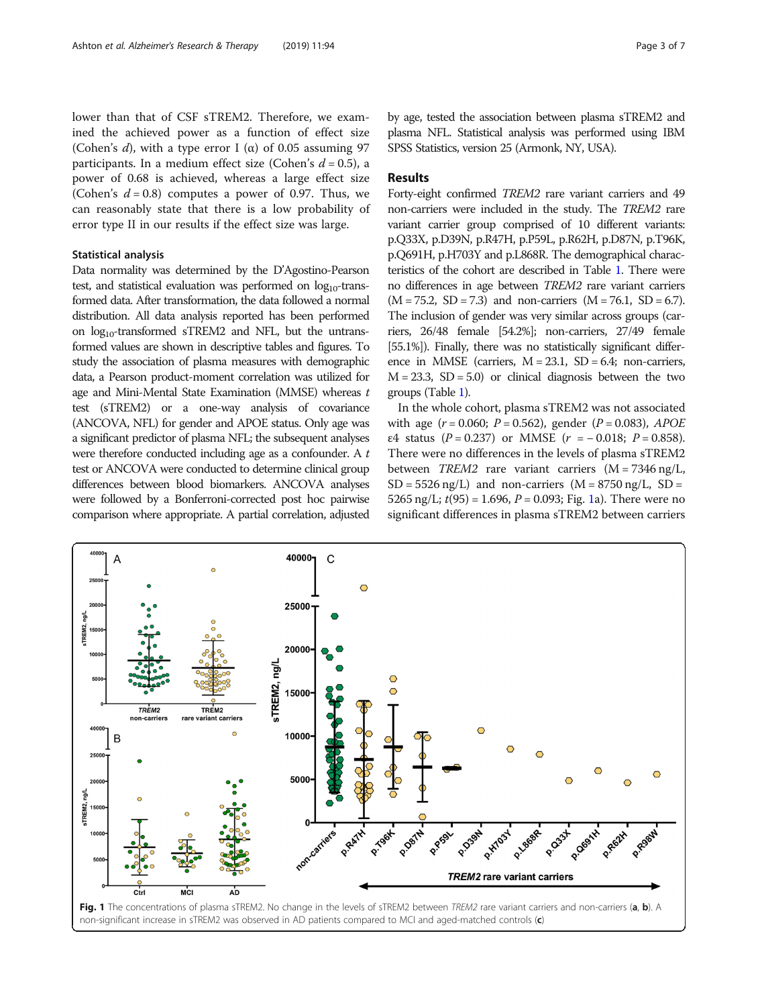<span id="page-2-0"></span>lower than that of CSF sTREM2. Therefore, we examined the achieved power as a function of effect size (Cohen's d), with a type error I ( $\alpha$ ) of 0.05 assuming 97 participants. In a medium effect size (Cohen's  $d = 0.5$ ), a power of 0.68 is achieved, whereas a large effect size (Cohen's  $d = 0.8$ ) computes a power of 0.97. Thus, we can reasonably state that there is a low probability of error type II in our results if the effect size was large.

#### Statistical analysis

Data normality was determined by the D'Agostino-Pearson test, and statistical evaluation was performed on  $log_{10}$ -transformed data. After transformation, the data followed a normal distribution. All data analysis reported has been performed on  $log_{10}$ -transformed sTREM2 and NFL, but the untransformed values are shown in descriptive tables and figures. To study the association of plasma measures with demographic data, a Pearson product-moment correlation was utilized for age and Mini-Mental State Examination (MMSE) whereas t test (sTREM2) or a one-way analysis of covariance (ANCOVA, NFL) for gender and APOE status. Only age was a significant predictor of plasma NFL; the subsequent analyses were therefore conducted including age as a confounder. A t test or ANCOVA were conducted to determine clinical group differences between blood biomarkers. ANCOVA analyses were followed by a Bonferroni-corrected post hoc pairwise comparison where appropriate. A partial correlation, adjusted

by age, tested the association between plasma sTREM2 and plasma NFL. Statistical analysis was performed using IBM SPSS Statistics, version 25 (Armonk, NY, USA).

#### Results

Forty-eight confirmed TREM2 rare variant carriers and 49 non-carriers were included in the study. The TREM2 rare variant carrier group comprised of 10 different variants: p.Q33X, p.D39N, p.R47H, p.P59L, p.R62H, p.D87N, p.T96K, p.Q691H, p.H703Y and p.L868R. The demographical characteristics of the cohort are described in Table [1](#page-1-0). There were no differences in age between TREM2 rare variant carriers  $(M = 75.2, SD = 7.3)$  and non-carriers  $(M = 76.1, SD = 6.7)$ . The inclusion of gender was very similar across groups (carriers, 26/48 female [54.2%]; non-carriers, 27/49 female [55.1%]). Finally, there was no statistically significant difference in MMSE (carriers,  $M = 23.1$ ,  $SD = 6.4$ ; non-carriers,  $M = 23.3$ ,  $SD = 5.0$ ) or clinical diagnosis between the two groups (Table [1](#page-1-0)).

In the whole cohort, plasma sTREM2 was not associated with age  $(r = 0.060; P = 0.562)$ , gender  $(P = 0.083)$ , APOE  $E4$  status (P = 0.237) or MMSE ( $r = -0.018$ ; P = 0.858). There were no differences in the levels of plasma sTREM2 between *TREM2* rare variant carriers  $(M = 7346 \text{ ng/L}$ ,  $SD = 5526$  ng/L) and non-carriers  $(M = 8750$  ng/L,  $SD =$ 5265 ng/L;  $t(95) = 1.696$ ,  $P = 0.093$ ; Fig. 1a). There were no significant differences in plasma sTREM2 between carriers

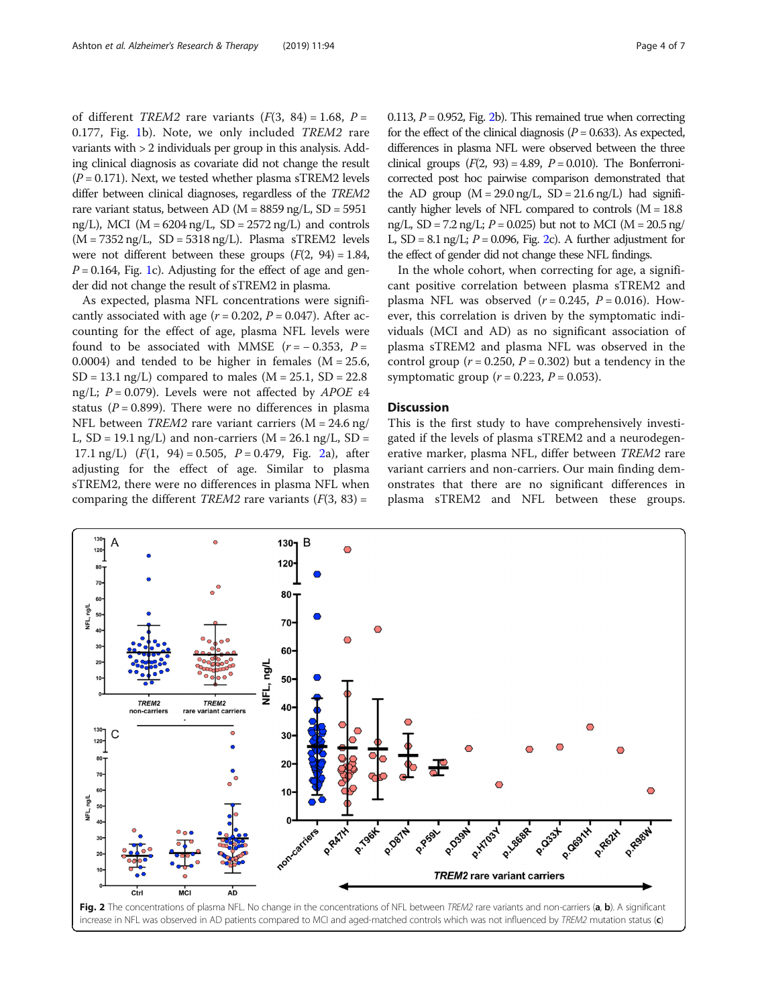of different TREM2 rare variants  $(F(3, 84) = 1.68, P =$ 0.177, Fig. [1b](#page-2-0)). Note, we only included TREM2 rare variants with > 2 individuals per group in this analysis. Adding clinical diagnosis as covariate did not change the result  $(P = 0.171)$ . Next, we tested whether plasma sTREM2 levels differ between clinical diagnoses, regardless of the TREM2 rare variant status, between AD ( $M = 8859$  ng/L, SD = 5951 ng/L), MCI ( $M = 6204$  ng/L,  $SD = 2572$  ng/L) and controls  $(M = 7352 \text{ ng/L}$ ,  $SD = 5318 \text{ ng/L}$ . Plasma sTREM2 levels were not different between these groups  $(F(2, 94) = 1.84,$  $P = 0.164$ , Fig. [1c](#page-2-0)). Adjusting for the effect of age and gender did not change the result of sTREM2 in plasma.

As expected, plasma NFL concentrations were significantly associated with age ( $r = 0.202$ ,  $P = 0.047$ ). After accounting for the effect of age, plasma NFL levels were found to be associated with MMSE ( $r = -0.353$ ,  $P =$ 0.0004) and tended to be higher in females ( $M = 25.6$ ,  $SD = 13.1$  ng/L) compared to males ( $M = 25.1$ ,  $SD = 22.8$ ng/L;  $P = 0.079$ ). Levels were not affected by APOE ε4 status ( $P = 0.899$ ). There were no differences in plasma NFL between TREM2 rare variant carriers (M = 24.6 ng/ L,  $SD = 19.1$  ng/L) and non-carriers ( $M = 26.1$  ng/L,  $SD =$ 17.1 ng/L)  $(F(1, 94) = 0.505, P = 0.479, Fig. 2a)$ , after adjusting for the effect of age. Similar to plasma sTREM2, there were no differences in plasma NFL when comparing the different *TREM2* rare variants  $(F(3, 83)) =$ 

0.113,  $P = 0.952$ , Fig. 2b). This remained true when correcting for the effect of the clinical diagnosis ( $P = 0.633$ ). As expected, differences in plasma NFL were observed between the three clinical groups  $(F(2, 93) = 4.89, P = 0.010)$ . The Bonferronicorrected post hoc pairwise comparison demonstrated that the AD group  $(M = 29.0 \text{ ng/L}, SD = 21.6 \text{ ng/L})$  had significantly higher levels of NFL compared to controls  $(M = 18.8)$ ng/L,  $SD = 7.2$  ng/L;  $P = 0.025$ ) but not to MCI (M = 20.5 ng/ L,  $SD = 8.1$  ng/L;  $P = 0.096$ , Fig. 2c). A further adjustment for the effect of gender did not change these NFL findings.

In the whole cohort, when correcting for age, a significant positive correlation between plasma sTREM2 and plasma NFL was observed  $(r = 0.245, P = 0.016)$ . However, this correlation is driven by the symptomatic individuals (MCI and AD) as no significant association of plasma sTREM2 and plasma NFL was observed in the control group ( $r = 0.250$ ,  $P = 0.302$ ) but a tendency in the symptomatic group  $(r = 0.223, P = 0.053)$ .

#### **Discussion**

This is the first study to have comprehensively investigated if the levels of plasma sTREM2 and a neurodegenerative marker, plasma NFL, differ between TREM2 rare variant carriers and non-carriers. Our main finding demonstrates that there are no significant differences in plasma sTREM2 and NFL between these groups.

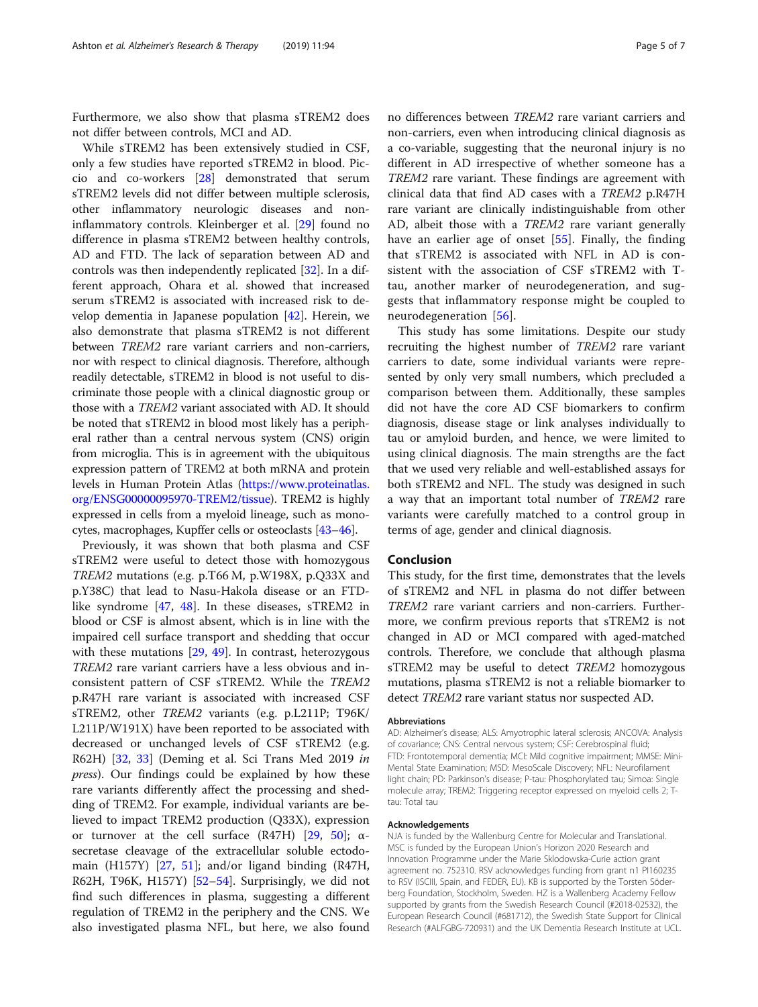Furthermore, we also show that plasma sTREM2 does not differ between controls, MCI and AD.

While sTREM2 has been extensively studied in CSF, only a few studies have reported sTREM2 in blood. Piccio and co-workers [\[28](#page-6-0)] demonstrated that serum sTREM2 levels did not differ between multiple sclerosis, other inflammatory neurologic diseases and noninflammatory controls. Kleinberger et al. [[29\]](#page-6-0) found no difference in plasma sTREM2 between healthy controls, AD and FTD. The lack of separation between AD and controls was then independently replicated [\[32\]](#page-6-0). In a different approach, Ohara et al. showed that increased serum sTREM2 is associated with increased risk to develop dementia in Japanese population [\[42\]](#page-6-0). Herein, we also demonstrate that plasma sTREM2 is not different between TREM2 rare variant carriers and non-carriers, nor with respect to clinical diagnosis. Therefore, although readily detectable, sTREM2 in blood is not useful to discriminate those people with a clinical diagnostic group or those with a TREM2 variant associated with AD. It should be noted that sTREM2 in blood most likely has a peripheral rather than a central nervous system (CNS) origin from microglia. This is in agreement with the ubiquitous expression pattern of TREM2 at both mRNA and protein levels in Human Protein Atlas [\(https://www.proteinatlas.](https://www.proteinatlas.org/ENSG00000095970-TREM2/tissue) [org/ENSG00000095970-TREM2/tissue](https://www.proteinatlas.org/ENSG00000095970-TREM2/tissue)). TREM2 is highly expressed in cells from a myeloid lineage, such as monocytes, macrophages, Kupffer cells or osteoclasts [[43](#page-6-0)–[46\]](#page-6-0).

Previously, it was shown that both plasma and CSF sTREM2 were useful to detect those with homozygous TREM2 mutations (e.g. p.T66 M, p.W198X, p.Q33X and p.Y38C) that lead to Nasu-Hakola disease or an FTDlike syndrome [[47,](#page-6-0) [48\]](#page-6-0). In these diseases, sTREM2 in blood or CSF is almost absent, which is in line with the impaired cell surface transport and shedding that occur with these mutations [\[29,](#page-6-0) [49](#page-6-0)]. In contrast, heterozygous TREM2 rare variant carriers have a less obvious and inconsistent pattern of CSF sTREM2. While the TREM2 p.R47H rare variant is associated with increased CSF sTREM2, other TREM2 variants (e.g. p.L211P; T96K/ L211P/W191X) have been reported to be associated with decreased or unchanged levels of CSF sTREM2 (e.g. R62H) [[32,](#page-6-0) [33](#page-6-0)] (Deming et al. Sci Trans Med 2019 in press). Our findings could be explained by how these rare variants differently affect the processing and shedding of TREM2. For example, individual variants are believed to impact TREM2 production (Q33X), expression or turnover at the cell surface  $(R47H)$   $[29, 50]$  $[29, 50]$  $[29, 50]$  $[29, 50]$ ;  $\alpha$ secretase cleavage of the extracellular soluble ectodomain (H157Y) [[27](#page-6-0), [51\]](#page-6-0); and/or ligand binding (R47H, R62H, T96K, H157Y) [\[52](#page-6-0)–[54\]](#page-6-0). Surprisingly, we did not find such differences in plasma, suggesting a different regulation of TREM2 in the periphery and the CNS. We also investigated plasma NFL, but here, we also found

no differences between TREM2 rare variant carriers and non-carriers, even when introducing clinical diagnosis as a co-variable, suggesting that the neuronal injury is no different in AD irrespective of whether someone has a TREM2 rare variant. These findings are agreement with clinical data that find AD cases with a TREM2 p.R47H rare variant are clinically indistinguishable from other AD, albeit those with a TREM2 rare variant generally have an earlier age of onset [\[55](#page-6-0)]. Finally, the finding that sTREM2 is associated with NFL in AD is consistent with the association of CSF sTREM2 with Ttau, another marker of neurodegeneration, and suggests that inflammatory response might be coupled to neurodegeneration [\[56](#page-6-0)].

This study has some limitations. Despite our study recruiting the highest number of TREM2 rare variant carriers to date, some individual variants were represented by only very small numbers, which precluded a comparison between them. Additionally, these samples did not have the core AD CSF biomarkers to confirm diagnosis, disease stage or link analyses individually to tau or amyloid burden, and hence, we were limited to using clinical diagnosis. The main strengths are the fact that we used very reliable and well-established assays for both sTREM2 and NFL. The study was designed in such a way that an important total number of TREM2 rare variants were carefully matched to a control group in terms of age, gender and clinical diagnosis.

#### Conclusion

This study, for the first time, demonstrates that the levels of sTREM2 and NFL in plasma do not differ between TREM2 rare variant carriers and non-carriers. Furthermore, we confirm previous reports that sTREM2 is not changed in AD or MCI compared with aged-matched controls. Therefore, we conclude that although plasma sTREM2 may be useful to detect TREM2 homozygous mutations, plasma sTREM2 is not a reliable biomarker to detect TREM2 rare variant status nor suspected AD.

#### Abbreviations

AD: Alzheimer's disease; ALS: Amyotrophic lateral sclerosis; ANCOVA: Analysis of covariance; CNS: Central nervous system; CSF: Cerebrospinal fluid; FTD: Frontotemporal dementia; MCI: Mild cognitive impairment; MMSE: Mini-Mental State Examination; MSD: MesoScale Discovery; NFL: Neurofilament light chain; PD: Parkinson's disease; P-tau: Phosphorylated tau; Simoa: Single molecule array; TREM2: Triggering receptor expressed on myeloid cells 2; Ttau: Total tau

#### Acknowledgements

NJA is funded by the Wallenburg Centre for Molecular and Translational. MSC is funded by the European Union's Horizon 2020 Research and Innovation Programme under the Marie Sklodowska-Curie action grant agreement no. 752310. RSV acknowledges funding from grant n1 PI160235 to RSV (ISCIII, Spain, and FEDER, EU). KB is supported by the Torsten Söderberg Foundation, Stockholm, Sweden. HZ is a Wallenberg Academy Fellow supported by grants from the Swedish Research Council (#2018-02532), the European Research Council (#681712), the Swedish State Support for Clinical Research (#ALFGBG-720931) and the UK Dementia Research Institute at UCL.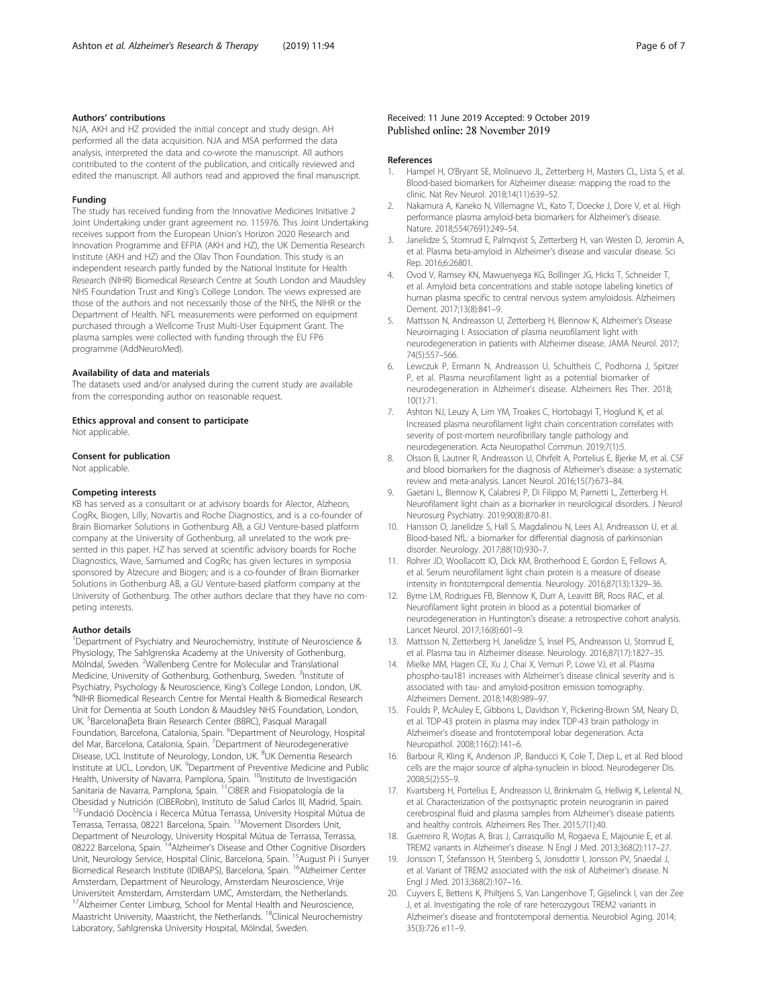#### <span id="page-5-0"></span>Authors' contributions

NJA, AKH and HZ provided the initial concept and study design. AH performed all the data acquisition. NJA and MSA performed the data analysis, interpreted the data and co-wrote the manuscript. All authors contributed to the content of the publication, and critically reviewed and edited the manuscript. All authors read and approved the final manuscript.

#### Funding

The study has received funding from the Innovative Medicines Initiative 2 Joint Undertaking under grant agreement no. 115976. This Joint Undertaking receives support from the European Union's Horizon 2020 Research and Innovation Programme and EFPIA (AKH and HZ), the UK Dementia Research Institute (AKH and HZ) and the Olav Thon Foundation. This study is an independent research partly funded by the National Institute for Health Research (NIHR) Biomedical Research Centre at South London and Maudsley NHS Foundation Trust and King's College London. The views expressed are those of the authors and not necessarily those of the NHS, the NIHR or the Department of Health. NFL measurements were performed on equipment purchased through a Wellcome Trust Multi-User Equipment Grant. The plasma samples were collected with funding through the EU FP6 programme (AddNeuroMed).

#### Availability of data and materials

The datasets used and/or analysed during the current study are available from the corresponding author on reasonable request.

#### Ethics approval and consent to participate

Not applicable.

#### Consent for publication

Not applicable.

#### Competing interests

KB has served as a consultant or at advisory boards for Alector, Alzheon, CogRx, Biogen, Lilly, Novartis and Roche Diagnostics, and is a co-founder of Brain Biomarker Solutions in Gothenburg AB, a GU Venture-based platform company at the University of Gothenburg, all unrelated to the work presented in this paper. HZ has served at scientific advisory boards for Roche Diagnostics, Wave, Samumed and CogRx; has given lectures in symposia sponsored by Alzecure and Biogen; and is a co-founder of Brain Biomarker Solutions in Gothenburg AB, a GU Venture-based platform company at the University of Gothenburg. The other authors declare that they have no competing interests.

#### Author details

<sup>1</sup>Department of Psychiatry and Neurochemistry, Institute of Neuroscience & Physiology, The Sahlgrenska Academy at the University of Gothenburg, Mölndal, Sweden. <sup>2</sup>Wallenberg Centre for Molecular and Translational Medicine, University of Gothenburg, Gothenburg, Sweden. <sup>3</sup>Institute of Psychiatry, Psychology & Neuroscience, King's College London, London, UK. <sup>4</sup> <sup>4</sup>NIHR Biomedical Research Centre for Mental Health & Biomedical Research Unit for Dementia at South London & Maudsley NHS Foundation, London, UK. <sup>5</sup>Barcelonaβeta Brain Research Center (BBRC), Pasqual Maragall Foundation, Barcelona, Catalonia, Spain. <sup>6</sup>Department of Neurology, Hospital del Mar, Barcelona, Catalonia, Spain. <sup>7</sup>Department of Neurodegenerative Disease, UCL Institute of Neurology, London, UK. <sup>8</sup>UK Dementia Research Institute at UCL, London, UK. <sup>9</sup> Department of Preventive Medicine and Public Health, University of Navarra, Pamplona, Spain. <sup>10</sup>Instituto de Investigación Sanitaria de Navarra, Pamplona, Spain. <sup>11</sup>CIBER and Fisiopatología de la Obesidad y Nutrición (CIBERobn), Instituto de Salud Carlos III, Madrid, Spain. <sup>12</sup>Fundació Docència i Recerca Mútua Terrassa, University Hospital Mútua de Terrassa, Terrassa, 08221 Barcelona, Spain. 13Movement Disorders Unit, Department of Neurology, University Hospital Mútua de Terrassa, Terrassa,<br>08222 Barcelona, Spain. <sup>14</sup>Alzheimer's Disease and Other Cognitive Disorders Unit, Neurology Service, Hospital Clínic, Barcelona, Spain. 15August Pi i Sunyer Biomedical Research Institute (IDIBAPS), Barcelona, Spain. 16Alzheimer Center Amsterdam, Department of Neurology, Amsterdam Neuroscience, Vrije Universiteit Amsterdam, Amsterdam UMC, Amsterdam, the Netherlands. <sup>17</sup>Alzheimer Center Limburg, School for Mental Health and Neuroscience, Maastricht University, Maastricht, the Netherlands. 18Clinical Neurochemistry Laboratory, Sahlgrenska University Hospital, Mölndal, Sweden.

#### Received: 11 June 2019 Accepted: 9 October 2019 Published online: 28 November 2019

#### References

- 1. Hampel H, O'Bryant SE, Molinuevo JL, Zetterberg H, Masters CL, Lista S, et al. Blood-based biomarkers for Alzheimer disease: mapping the road to the clinic. Nat Rev Neurol. 2018;14(11):639–52.
- 2. Nakamura A, Kaneko N, Villemagne VL, Kato T, Doecke J, Dore V, et al. High performance plasma amyloid-beta biomarkers for Alzheimer's disease. Nature. 2018;554(7691):249–54.
- 3. Janelidze S, Stomrud E, Palmqvist S, Zetterberg H, van Westen D, Jeromin A, et al. Plasma beta-amyloid in Alzheimer's disease and vascular disease. Sci Rep. 2016;6:26801.
- 4. Ovod V, Ramsey KN, Mawuenyega KG, Bollinger JG, Hicks T, Schneider T, et al. Amyloid beta concentrations and stable isotope labeling kinetics of human plasma specific to central nervous system amyloidosis. Alzheimers Dement. 2017;13(8):841–9.
- Mattsson N, Andreasson U, Zetterberg H, Blennow K, Alzheimer's Disease Neuroimaging I. Association of plasma neurofilament light with neurodegeneration in patients with Alzheimer disease. JAMA Neurol. 2017; 74(5):557–566.
- 6. Lewczuk P, Ermann N, Andreasson U, Schultheis C, Podhorna J, Spitzer P, et al. Plasma neurofilament light as a potential biomarker of neurodegeneration in Alzheimer's disease. Alzheimers Res Ther. 2018;  $10(1):71$
- 7. Ashton NJ, Leuzy A, Lim YM, Troakes C, Hortobagyi T, Hoglund K, et al. Increased plasma neurofilament light chain concentration correlates with severity of post-mortem neurofibrillary tangle pathology and neurodegeneration. Acta Neuropathol Commun. 2019;7(1):5.
- 8. Olsson B, Lautner R, Andreasson U, Ohrfelt A, Portelius E, Bjerke M, et al. CSF and blood biomarkers for the diagnosis of Alzheimer's disease: a systematic review and meta-analysis. Lancet Neurol. 2016;15(7):673–84.
- 9. Gaetani L, Blennow K, Calabresi P, Di Filippo M, Parnetti L, Zetterberg H. Neurofilament light chain as a biomarker in neurological disorders. J Neurol Neurosurg Psychiatry. 2019;90(8):870-81.
- 10. Hansson O, Janelidze S, Hall S, Magdalinou N, Lees AJ, Andreasson U, et al. Blood-based NfL: a biomarker for differential diagnosis of parkinsonian disorder. Neurology. 2017;88(10):930–7.
- 11. Rohrer JD, Woollacott IO, Dick KM, Brotherhood E, Gordon E, Fellows A, et al. Serum neurofilament light chain protein is a measure of disease intensity in frontotemporal dementia. Neurology. 2016;87(13):1329–36.
- 12. Byrne LM, Rodrigues FB, Blennow K, Durr A, Leavitt BR, Roos RAC, et al. Neurofilament light protein in blood as a potential biomarker of neurodegeneration in Huntington's disease: a retrospective cohort analysis. Lancet Neurol. 2017;16(8):601–9.
- 13. Mattsson N, Zetterberg H, Janelidze S, Insel PS, Andreasson U, Stomrud E, et al. Plasma tau in Alzheimer disease. Neurology. 2016;87(17):1827–35.
- 14. Mielke MM, Hagen CE, Xu J, Chai X, Vemuri P, Lowe VJ, et al. Plasma phospho-tau181 increases with Alzheimer's disease clinical severity and is associated with tau- and amyloid-positron emission tomography. Alzheimers Dement. 2018;14(8):989–97.
- 15. Foulds P, McAuley E, Gibbons L, Davidson Y, Pickering-Brown SM, Neary D, et al. TDP-43 protein in plasma may index TDP-43 brain pathology in Alzheimer's disease and frontotemporal lobar degeneration. Acta Neuropathol. 2008;116(2):141–6.
- 16. Barbour R, Kling K, Anderson JP, Banducci K, Cole T, Diep L, et al. Red blood cells are the major source of alpha-synuclein in blood. Neurodegener Dis. 2008;5(2):55–9.
- 17. Kvartsberg H, Portelius E, Andreasson U, Brinkmalm G, Hellwig K, Lelental N, et al. Characterization of the postsynaptic protein neurogranin in paired cerebrospinal fluid and plasma samples from Alzheimer's disease patients and healthy controls. Alzheimers Res Ther. 2015;7(1):40.
- 18. Guerreiro R, Wojtas A, Bras J, Carrasquillo M, Rogaeva E, Majounie E, et al. TREM2 variants in Alzheimer's disease. N Engl J Med. 2013;368(2):117–27.
- 19. Jonsson T, Stefansson H, Steinberg S, Jonsdottir I, Jonsson PV, Snaedal J, et al. Variant of TREM2 associated with the risk of Alzheimer's disease. N Engl J Med. 2013;368(2):107–16.
- 20. Cuyvers E, Bettens K, Philtjens S, Van Langenhove T, Gijselinck I, van der Zee J, et al. Investigating the role of rare heterozygous TREM2 variants in Alzheimer's disease and frontotemporal dementia. Neurobiol Aging. 2014; 35(3):726 e11–9.